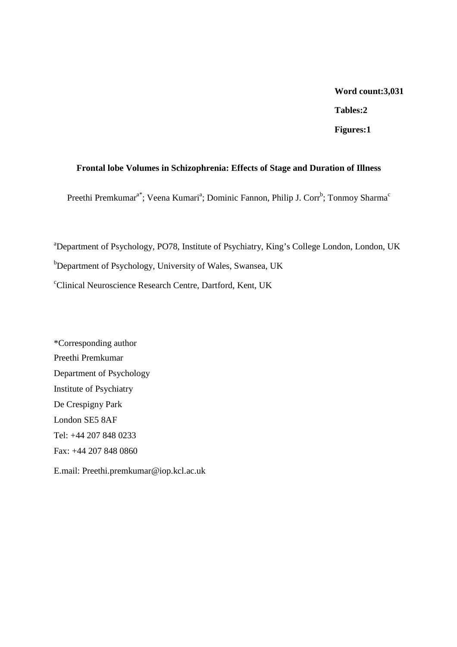# **Word count:3,031**

**Tables:2** 

**Figures:1** 

# **Frontal lobe Volumes in Schizophrenia: Effects of Stage and Duration of Illness**

Preethi Premkumar<sup>a\*</sup>; Veena Kumari<sup>a</sup>; Dominic Fannon, Philip J. Corr<sup>b</sup>; Tonmoy Sharma<sup>c</sup>

<sup>a</sup>Department of Psychology, PO78, Institute of Psychiatry, King's College London, London, UK b<sub>Department of Psychology, University of Wales, Swansea, UK</sub> <sup>c</sup>Clinical Neuroscience Research Centre, Dartford, Kent, UK

\*Corresponding author Preethi Premkumar Department of Psychology Institute of Psychiatry De Crespigny Park London SE5 8AF Tel: +44 207 848 0233 Fax: +44 207 848 0860 E.mail: Preethi.premkumar@iop.kcl.ac.uk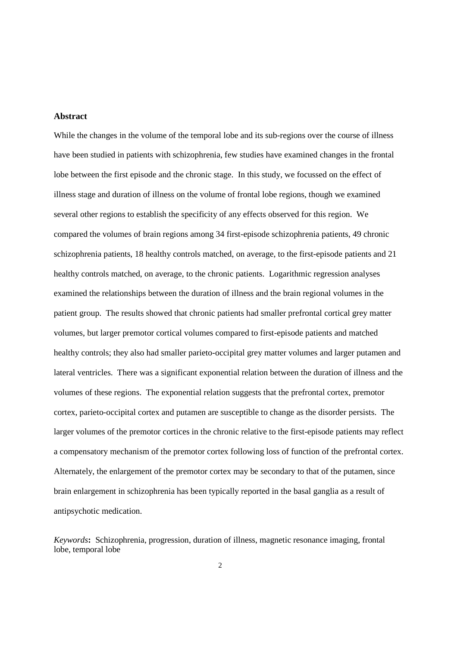#### **Abstract**

While the changes in the volume of the temporal lobe and its sub-regions over the course of illness have been studied in patients with schizophrenia, few studies have examined changes in the frontal lobe between the first episode and the chronic stage. In this study, we focussed on the effect of illness stage and duration of illness on the volume of frontal lobe regions, though we examined several other regions to establish the specificity of any effects observed for this region. We compared the volumes of brain regions among 34 first-episode schizophrenia patients, 49 chronic schizophrenia patients, 18 healthy controls matched, on average, to the first-episode patients and 21 healthy controls matched, on average, to the chronic patients. Logarithmic regression analyses examined the relationships between the duration of illness and the brain regional volumes in the patient group. The results showed that chronic patients had smaller prefrontal cortical grey matter volumes, but larger premotor cortical volumes compared to first-episode patients and matched healthy controls; they also had smaller parieto-occipital grey matter volumes and larger putamen and lateral ventricles. There was a significant exponential relation between the duration of illness and the volumes of these regions. The exponential relation suggests that the prefrontal cortex, premotor cortex, parieto-occipital cortex and putamen are susceptible to change as the disorder persists. The larger volumes of the premotor cortices in the chronic relative to the first-episode patients may reflect a compensatory mechanism of the premotor cortex following loss of function of the prefrontal cortex. Alternately, the enlargement of the premotor cortex may be secondary to that of the putamen, since brain enlargement in schizophrenia has been typically reported in the basal ganglia as a result of antipsychotic medication.

*Keywords***:** Schizophrenia, progression, duration of illness, magnetic resonance imaging, frontal lobe, temporal lobe

 $\overline{2}$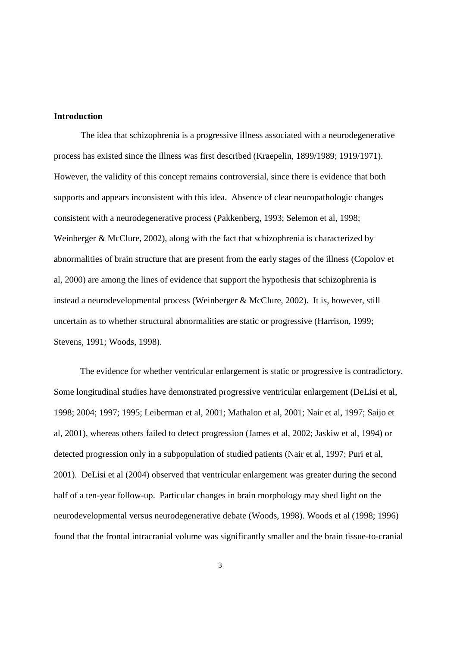# **Introduction**

The idea that schizophrenia is a progressive illness associated with a neurodegenerative process has existed since the illness was first described (Kraepelin, 1899/1989; 1919/1971). However, the validity of this concept remains controversial, since there is evidence that both supports and appears inconsistent with this idea. Absence of clear neuropathologic changes consistent with a neurodegenerative process (Pakkenberg, 1993; Selemon et al, 1998; Weinberger & McClure, 2002), along with the fact that schizophrenia is characterized by abnormalities of brain structure that are present from the early stages of the illness (Copolov et al, 2000) are among the lines of evidence that support the hypothesis that schizophrenia is instead a neurodevelopmental process (Weinberger & McClure, 2002). It is, however, still uncertain as to whether structural abnormalities are static or progressive (Harrison, 1999; Stevens, 1991; Woods, 1998).

The evidence for whether ventricular enlargement is static or progressive is contradictory. Some longitudinal studies have demonstrated progressive ventricular enlargement (DeLisi et al, 1998; 2004; 1997; 1995; Leiberman et al, 2001; Mathalon et al, 2001; Nair et al, 1997; Saijo et al, 2001), whereas others failed to detect progression (James et al, 2002; Jaskiw et al, 1994) or detected progression only in a subpopulation of studied patients (Nair et al, 1997; Puri et al, 2001). DeLisi et al (2004) observed that ventricular enlargement was greater during the second half of a ten-year follow-up. Particular changes in brain morphology may shed light on the neurodevelopmental versus neurodegenerative debate (Woods, 1998). Woods et al (1998; 1996) found that the frontal intracranial volume was significantly smaller and the brain tissue-to-cranial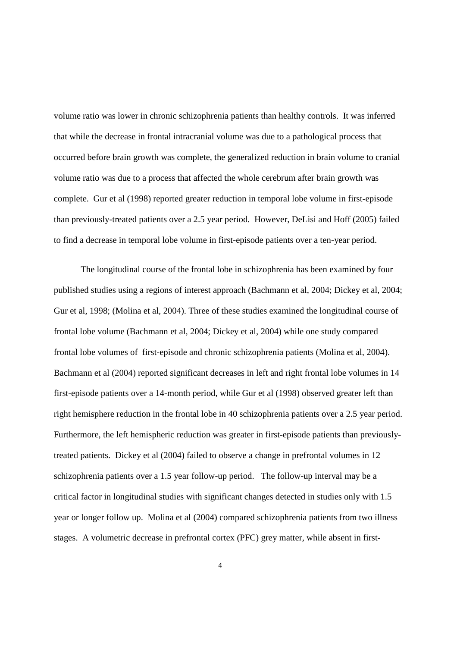volume ratio was lower in chronic schizophrenia patients than healthy controls. It was inferred that while the decrease in frontal intracranial volume was due to a pathological process that occurred before brain growth was complete, the generalized reduction in brain volume to cranial volume ratio was due to a process that affected the whole cerebrum after brain growth was complete. Gur et al (1998) reported greater reduction in temporal lobe volume in first-episode than previously-treated patients over a 2.5 year period. However, DeLisi and Hoff (2005) failed to find a decrease in temporal lobe volume in first-episode patients over a ten-year period.

The longitudinal course of the frontal lobe in schizophrenia has been examined by four published studies using a regions of interest approach (Bachmann et al, 2004; Dickey et al, 2004; Gur et al, 1998; (Molina et al, 2004). Three of these studies examined the longitudinal course of frontal lobe volume (Bachmann et al, 2004; Dickey et al, 2004) while one study compared frontal lobe volumes of first-episode and chronic schizophrenia patients (Molina et al, 2004). Bachmann et al (2004) reported significant decreases in left and right frontal lobe volumes in 14 first-episode patients over a 14-month period, while Gur et al (1998) observed greater left than right hemisphere reduction in the frontal lobe in 40 schizophrenia patients over a 2.5 year period. Furthermore, the left hemispheric reduction was greater in first-episode patients than previouslytreated patients. Dickey et al (2004) failed to observe a change in prefrontal volumes in 12 schizophrenia patients over a 1.5 year follow-up period. The follow-up interval may be a critical factor in longitudinal studies with significant changes detected in studies only with 1.5 year or longer follow up. Molina et al (2004) compared schizophrenia patients from two illness stages. A volumetric decrease in prefrontal cortex (PFC) grey matter, while absent in first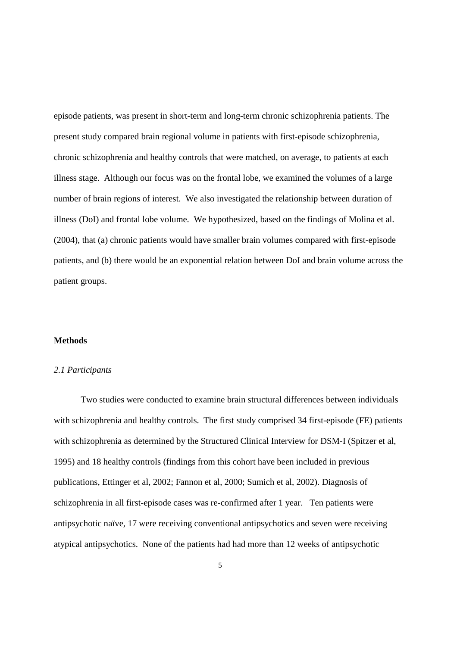episode patients, was present in short-term and long-term chronic schizophrenia patients. The present study compared brain regional volume in patients with first-episode schizophrenia, chronic schizophrenia and healthy controls that were matched, on average, to patients at each illness stage. Although our focus was on the frontal lobe, we examined the volumes of a large number of brain regions of interest. We also investigated the relationship between duration of illness (DoI) and frontal lobe volume. We hypothesized, based on the findings of Molina et al. (2004), that (a) chronic patients would have smaller brain volumes compared with first-episode patients, and (b) there would be an exponential relation between DoI and brain volume across the patient groups.

#### **Methods**

#### *2.1 Participants*

Two studies were conducted to examine brain structural differences between individuals with schizophrenia and healthy controls. The first study comprised 34 first-episode (FE) patients with schizophrenia as determined by the Structured Clinical Interview for DSM-I (Spitzer et al, 1995) and 18 healthy controls (findings from this cohort have been included in previous publications, Ettinger et al, 2002; Fannon et al, 2000; Sumich et al, 2002). Diagnosis of schizophrenia in all first-episode cases was re-confirmed after 1 year. Ten patients were antipsychotic naïve, 17 were receiving conventional antipsychotics and seven were receiving atypical antipsychotics. None of the patients had had more than 12 weeks of antipsychotic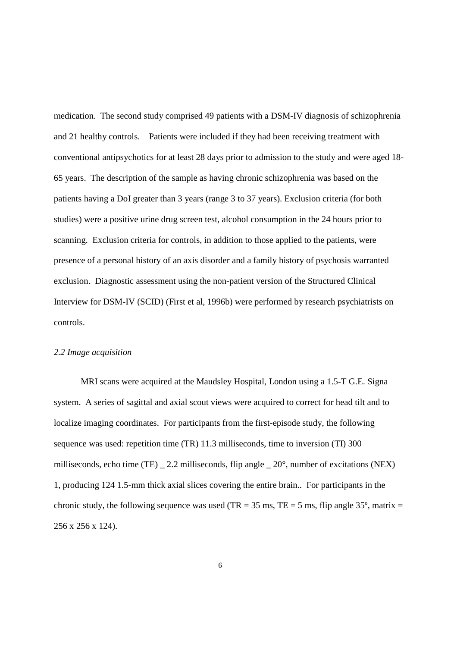medication. The second study comprised 49 patients with a DSM-IV diagnosis of schizophrenia and 21 healthy controls. Patients were included if they had been receiving treatment with conventional antipsychotics for at least 28 days prior to admission to the study and were aged 18- 65 years. The description of the sample as having chronic schizophrenia was based on the patients having a DoI greater than 3 years (range 3 to 37 years). Exclusion criteria (for both studies) were a positive urine drug screen test, alcohol consumption in the 24 hours prior to scanning. Exclusion criteria for controls, in addition to those applied to the patients, were presence of a personal history of an axis disorder and a family history of psychosis warranted exclusion. Diagnostic assessment using the non-patient version of the Structured Clinical Interview for DSM-IV (SCID) (First et al, 1996b) were performed by research psychiatrists on controls.

# *2.2 Image acquisition*

MRI scans were acquired at the Maudsley Hospital, London using a 1.5-T G.E. Signa system. A series of sagittal and axial scout views were acquired to correct for head tilt and to localize imaging coordinates. For participants from the first-episode study, the following sequence was used: repetition time (TR) 11.3 milliseconds, time to inversion (TI) 300 milliseconds, echo time (TE) \_ 2.2 milliseconds, flip angle \_ 20°, number of excitations (NEX) 1, producing 124 1.5-mm thick axial slices covering the entire brain.. For participants in the chronic study, the following sequence was used (TR =  $35 \text{ ms}$ , TE =  $5 \text{ ms}$ , flip angle  $35^{\circ}$ , matrix = 256 x 256 x 124).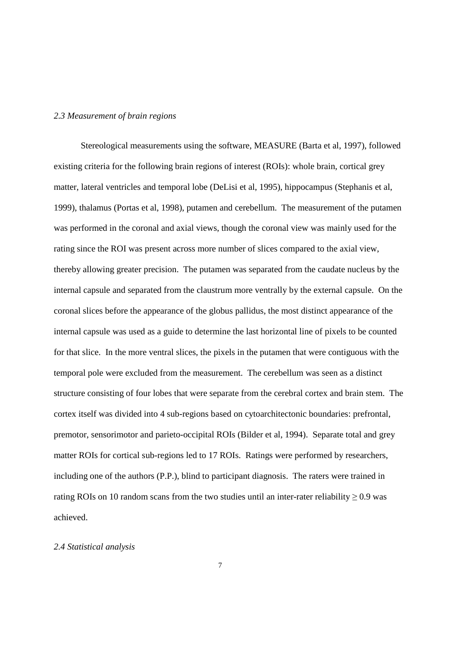#### *2.3 Measurement of brain regions*

Stereological measurements using the software, MEASURE (Barta et al, 1997), followed existing criteria for the following brain regions of interest (ROIs): whole brain, cortical grey matter, lateral ventricles and temporal lobe (DeLisi et al, 1995), hippocampus (Stephanis et al, 1999), thalamus (Portas et al, 1998), putamen and cerebellum. The measurement of the putamen was performed in the coronal and axial views, though the coronal view was mainly used for the rating since the ROI was present across more number of slices compared to the axial view, thereby allowing greater precision. The putamen was separated from the caudate nucleus by the internal capsule and separated from the claustrum more ventrally by the external capsule. On the coronal slices before the appearance of the globus pallidus, the most distinct appearance of the internal capsule was used as a guide to determine the last horizontal line of pixels to be counted for that slice. In the more ventral slices, the pixels in the putamen that were contiguous with the temporal pole were excluded from the measurement. The cerebellum was seen as a distinct structure consisting of four lobes that were separate from the cerebral cortex and brain stem. The cortex itself was divided into 4 sub-regions based on cytoarchitectonic boundaries: prefrontal, premotor, sensorimotor and parieto-occipital ROIs (Bilder et al, 1994). Separate total and grey matter ROIs for cortical sub-regions led to 17 ROIs. Ratings were performed by researchers, including one of the authors (P.P.), blind to participant diagnosis. The raters were trained in rating ROIs on 10 random scans from the two studies until an inter-rater reliability  $\geq$  0.9 was achieved.

# *2.4 Statistical analysis*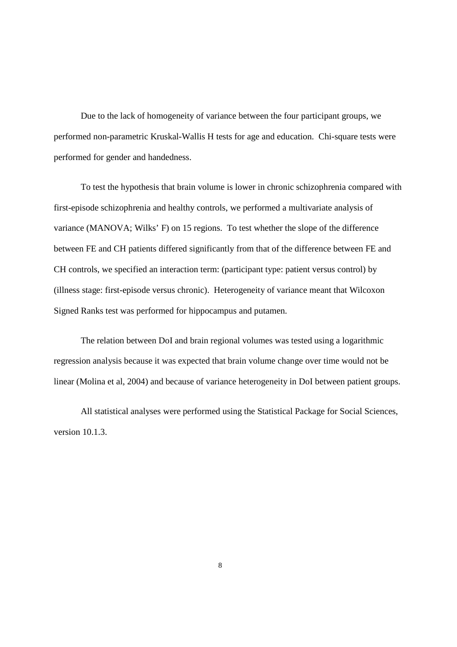Due to the lack of homogeneity of variance between the four participant groups, we performed non-parametric Kruskal-Wallis H tests for age and education. Chi-square tests were performed for gender and handedness.

To test the hypothesis that brain volume is lower in chronic schizophrenia compared with first-episode schizophrenia and healthy controls, we performed a multivariate analysis of variance (MANOVA; Wilks' F) on 15 regions. To test whether the slope of the difference between FE and CH patients differed significantly from that of the difference between FE and CH controls, we specified an interaction term: (participant type: patient versus control) by (illness stage: first-episode versus chronic). Heterogeneity of variance meant that Wilcoxon Signed Ranks test was performed for hippocampus and putamen.

The relation between DoI and brain regional volumes was tested using a logarithmic regression analysis because it was expected that brain volume change over time would not be linear (Molina et al, 2004) and because of variance heterogeneity in DoI between patient groups.

All statistical analyses were performed using the Statistical Package for Social Sciences, version 10.1.3.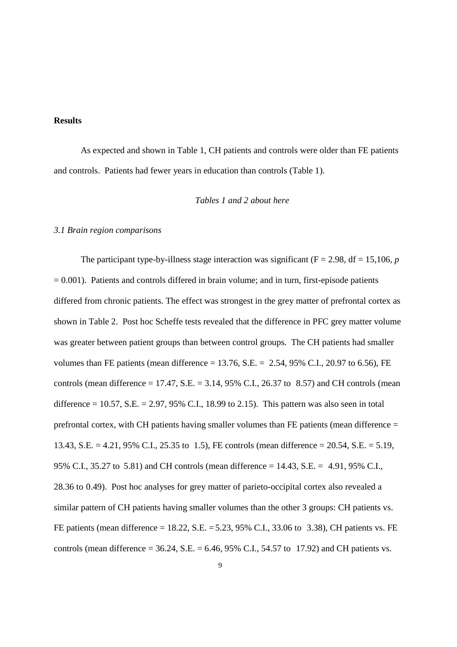#### **Results**

As expected and shown in Table 1, CH patients and controls were older than FE patients and controls. Patients had fewer years in education than controls (Table 1).

# *Tables 1 and 2 about here*

#### *3.1 Brain region comparisons*

The participant type-by-illness stage interaction was significant ( $F = 2.98$ ,  $df = 15,106$ , *p*  $= 0.001$ ). Patients and controls differed in brain volume; and in turn, first-episode patients differed from chronic patients. The effect was strongest in the grey matter of prefrontal cortex as shown in Table 2. Post hoc Scheffe tests revealed that the difference in PFC grey matter volume was greater between patient groups than between control groups. The CH patients had smaller volumes than FE patients (mean difference = 13.76, S.E. =  $2.54$ , 95% C.I., 20.97 to 6.56), FE controls (mean difference  $= 17.47$ , S.E.  $= 3.14$ , 95% C.I., 26.37 to 8.57) and CH controls (mean difference  $= 10.57$ , S.E.  $= 2.97$ , 95% C.I., 18.99 to 2.15). This pattern was also seen in total prefrontal cortex, with CH patients having smaller volumes than FE patients (mean difference = 13.43, S.E. = 4.21, 95% C.I., 25.35 to 1.5), FE controls (mean difference = 20.54, S.E. = 5.19, 95% C.I., 35.27 to 5.81) and CH controls (mean difference = 14.43, S.E. = 4.91, 95% C.I., 28.36 to 0.49). Post hoc analyses for grey matter of parieto-occipital cortex also revealed a similar pattern of CH patients having smaller volumes than the other 3 groups: CH patients vs. FE patients (mean difference = 18.22, S.E. = 5.23, 95% C.I., 33.06 to 3.38), CH patients vs. FE controls (mean difference =  $36.24$ , S.E. =  $6.46$ ,  $95\%$  C.I.,  $54.57$  to 17.92) and CH patients vs.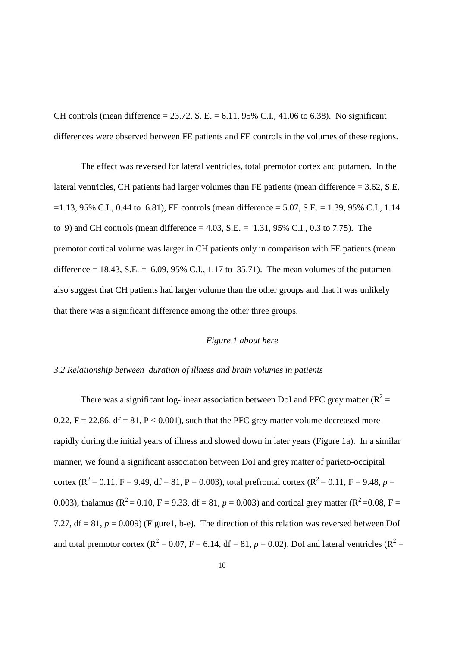CH controls (mean difference = 23.72, S. E. = 6.11, 95% C.I., 41.06 to 6.38). No significant differences were observed between FE patients and FE controls in the volumes of these regions.

The effect was reversed for lateral ventricles, total premotor cortex and putamen. In the lateral ventricles, CH patients had larger volumes than FE patients (mean difference = 3.62, S.E.  $= 1.13, 95\%$  C.I., 0.44 to 6.81), FE controls (mean difference  $= 5.07, S.E. = 1.39, 95\%$  C.I., 1.14 to 9) and CH controls (mean difference = 4.03, S.E. = 1.31, 95% C.I., 0.3 to 7.75). The premotor cortical volume was larger in CH patients only in comparison with FE patients (mean difference = 18.43, S.E. =  $6.09, 95\%$  C.I., 1.17 to 35.71). The mean volumes of the putamen also suggest that CH patients had larger volume than the other groups and that it was unlikely that there was a significant difference among the other three groups.

# *Figure 1 about here*

#### *3.2 Relationship between duration of illness and brain volumes in patients*

There was a significant log-linear association between DoI and PFC grey matter  $(R^2 =$ 0.22,  $F = 22.86$ ,  $df = 81$ ,  $P < 0.001$ ), such that the PFC grey matter volume decreased more rapidly during the initial years of illness and slowed down in later years (Figure 1a). In a similar manner, we found a significant association between DoI and grey matter of parieto-occipital cortex ( $R^2 = 0.11$ ,  $F = 9.49$ , df = 81, P = 0.003), total prefrontal cortex ( $R^2 = 0.11$ ,  $F = 9.48$ ,  $p =$ 0.003), thalamus ( $R^2 = 0.10$ ,  $F = 9.33$ , df = 81,  $p = 0.003$ ) and cortical grey matter ( $R^2 = 0.08$ ,  $F =$ 7.27,  $df = 81$ ,  $p = 0.009$ ) (Figure1, b-e). The direction of this relation was reversed between DoI and total premotor cortex ( $R^2 = 0.07$ ,  $F = 6.14$ , df = 81,  $p = 0.02$ ), DoI and lateral ventricles ( $R^2 =$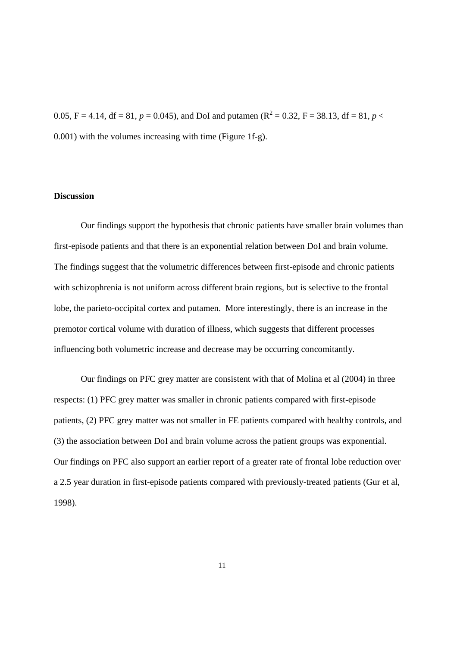0.05, F = 4.14, df = 81,  $p = 0.045$ ), and DoI and putamen (R<sup>2</sup> = 0.32, F = 38.13, df = 81,  $p <$ 0.001) with the volumes increasing with time (Figure 1f-g).

# **Discussion**

Our findings support the hypothesis that chronic patients have smaller brain volumes than first-episode patients and that there is an exponential relation between DoI and brain volume. The findings suggest that the volumetric differences between first-episode and chronic patients with schizophrenia is not uniform across different brain regions, but is selective to the frontal lobe, the parieto-occipital cortex and putamen. More interestingly, there is an increase in the premotor cortical volume with duration of illness, which suggests that different processes influencing both volumetric increase and decrease may be occurring concomitantly.

Our findings on PFC grey matter are consistent with that of Molina et al (2004) in three respects: (1) PFC grey matter was smaller in chronic patients compared with first-episode patients, (2) PFC grey matter was not smaller in FE patients compared with healthy controls, and (3) the association between DoI and brain volume across the patient groups was exponential. Our findings on PFC also support an earlier report of a greater rate of frontal lobe reduction over a 2.5 year duration in first-episode patients compared with previously-treated patients (Gur et al, 1998).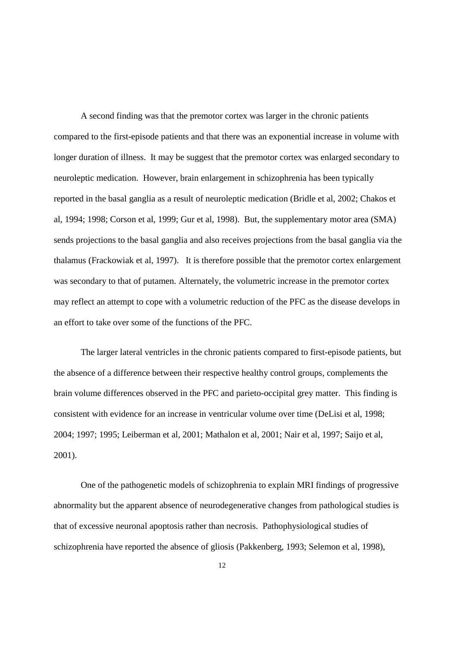A second finding was that the premotor cortex was larger in the chronic patients compared to the first-episode patients and that there was an exponential increase in volume with longer duration of illness. It may be suggest that the premotor cortex was enlarged secondary to neuroleptic medication. However, brain enlargement in schizophrenia has been typically reported in the basal ganglia as a result of neuroleptic medication (Bridle et al, 2002; Chakos et al, 1994; 1998; Corson et al, 1999; Gur et al, 1998). But, the supplementary motor area (SMA) sends projections to the basal ganglia and also receives projections from the basal ganglia via the thalamus (Frackowiak et al, 1997). It is therefore possible that the premotor cortex enlargement was secondary to that of putamen. Alternately, the volumetric increase in the premotor cortex may reflect an attempt to cope with a volumetric reduction of the PFC as the disease develops in an effort to take over some of the functions of the PFC.

The larger lateral ventricles in the chronic patients compared to first-episode patients, but the absence of a difference between their respective healthy control groups, complements the brain volume differences observed in the PFC and parieto-occipital grey matter. This finding is consistent with evidence for an increase in ventricular volume over time (DeLisi et al, 1998; 2004; 1997; 1995; Leiberman et al, 2001; Mathalon et al, 2001; Nair et al, 1997; Saijo et al, 2001).

One of the pathogenetic models of schizophrenia to explain MRI findings of progressive abnormality but the apparent absence of neurodegenerative changes from pathological studies is that of excessive neuronal apoptosis rather than necrosis. Pathophysiological studies of schizophrenia have reported the absence of gliosis (Pakkenberg, 1993; Selemon et al, 1998),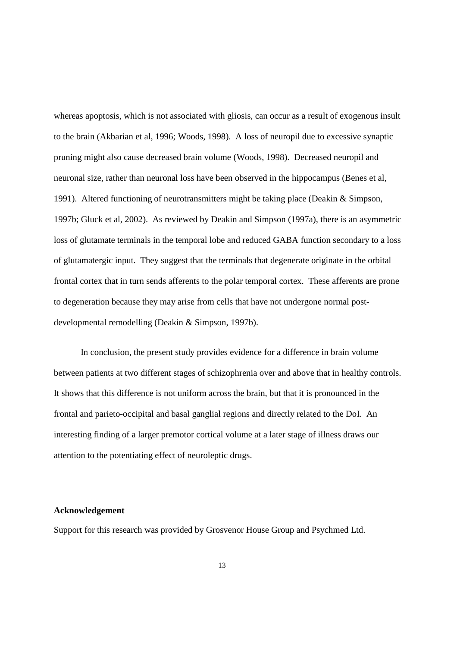whereas apoptosis, which is not associated with gliosis, can occur as a result of exogenous insult to the brain (Akbarian et al, 1996; Woods, 1998). A loss of neuropil due to excessive synaptic pruning might also cause decreased brain volume (Woods, 1998). Decreased neuropil and neuronal size, rather than neuronal loss have been observed in the hippocampus (Benes et al, 1991). Altered functioning of neurotransmitters might be taking place (Deakin & Simpson, 1997b; Gluck et al, 2002). As reviewed by Deakin and Simpson (1997a), there is an asymmetric loss of glutamate terminals in the temporal lobe and reduced GABA function secondary to a loss of glutamatergic input. They suggest that the terminals that degenerate originate in the orbital frontal cortex that in turn sends afferents to the polar temporal cortex. These afferents are prone to degeneration because they may arise from cells that have not undergone normal postdevelopmental remodelling (Deakin & Simpson, 1997b).

In conclusion, the present study provides evidence for a difference in brain volume between patients at two different stages of schizophrenia over and above that in healthy controls. It shows that this difference is not uniform across the brain, but that it is pronounced in the frontal and parieto-occipital and basal ganglial regions and directly related to the DoI. An interesting finding of a larger premotor cortical volume at a later stage of illness draws our attention to the potentiating effect of neuroleptic drugs.

#### **Acknowledgement**

Support for this research was provided by Grosvenor House Group and Psychmed Ltd.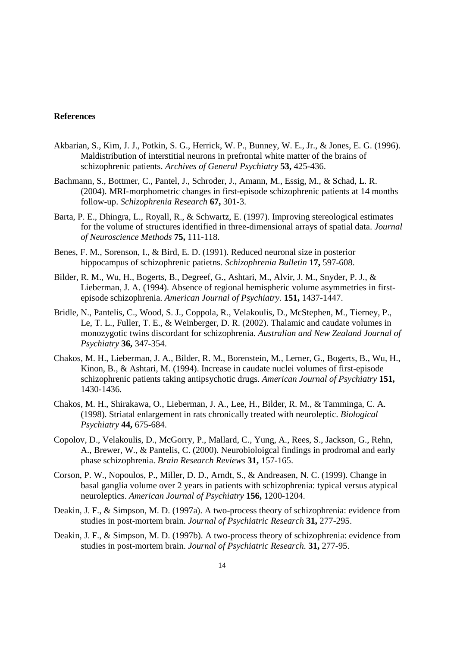# **References**

- Akbarian, S., Kim, J. J., Potkin, S. G., Herrick, W. P., Bunney, W. E., Jr., & Jones, E. G. (1996). Maldistribution of interstitial neurons in prefrontal white matter of the brains of schizophrenic patients. *Archives of General Psychiatry* **53,** 425-436.
- Bachmann, S., Bottmer, C., Pantel, J., Schroder, J., Amann, M., Essig, M., & Schad, L. R. (2004). MRI-morphometric changes in first-episode schizophrenic patients at 14 months follow-up. *Schizophrenia Research* **67,** 301-3.
- Barta, P. E., Dhingra, L., Royall, R., & Schwartz, E. (1997). Improving stereological estimates for the volume of structures identified in three-dimensional arrays of spatial data. *Journal of Neuroscience Methods* **75,** 111-118.
- Benes, F. M., Sorenson, I., & Bird, E. D. (1991). Reduced neuronal size in posterior hippocampus of schizophrenic patietns. *Schizophrenia Bulletin* **17,** 597-608.
- Bilder, R. M., Wu, H., Bogerts, B., Degreef, G., Ashtari, M., Alvir, J. M., Snyder, P. J., & Lieberman, J. A. (1994). Absence of regional hemispheric volume asymmetries in firstepisode schizophrenia. *American Journal of Psychiatry.* **151,** 1437-1447.
- Bridle, N., Pantelis, C., Wood, S. J., Coppola, R., Velakoulis, D., McStephen, M., Tierney, P., Le, T. L., Fuller, T. E., & Weinberger, D. R. (2002). Thalamic and caudate volumes in monozygotic twins discordant for schizophrenia. *Australian and New Zealand Journal of Psychiatry* **36,** 347-354.
- Chakos, M. H., Lieberman, J. A., Bilder, R. M., Borenstein, M., Lerner, G., Bogerts, B., Wu, H., Kinon, B., & Ashtari, M. (1994). Increase in caudate nuclei volumes of first-episode schizophrenic patients taking antipsychotic drugs. *American Journal of Psychiatry* **151,** 1430-1436.
- Chakos, M. H., Shirakawa, O., Lieberman, J. A., Lee, H., Bilder, R. M., & Tamminga, C. A. (1998). Striatal enlargement in rats chronically treated with neuroleptic. *Biological Psychiatry* **44,** 675-684.
- Copolov, D., Velakoulis, D., McGorry, P., Mallard, C., Yung, A., Rees, S., Jackson, G., Rehn, A., Brewer, W., & Pantelis, C. (2000). Neurobioloigcal findings in prodromal and early phase schizophrenia. *Brain Research Reviews* **31,** 157-165.
- Corson, P. W., Nopoulos, P., Miller, D. D., Arndt, S., & Andreasen, N. C. (1999). Change in basal ganglia volume over 2 years in patients with schizophrenia: typical versus atypical neuroleptics. *American Journal of Psychiatry* **156,** 1200-1204.
- Deakin, J. F., & Simpson, M. D. (1997a). A two-process theory of schizophrenia: evidence from studies in post-mortem brain. *Journal of Psychiatric Research* **31,** 277-295.
- Deakin, J. F., & Simpson, M. D. (1997b). A two-process theory of schizophrenia: evidence from studies in post-mortem brain. *Journal of Psychiatric Research.* **31,** 277-95.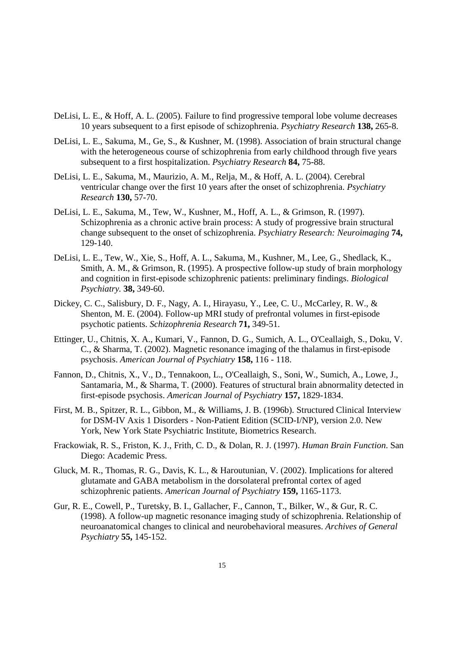- DeLisi, L. E., & Hoff, A. L. (2005). Failure to find progressive temporal lobe volume decreases 10 years subsequent to a first episode of schizophrenia. *Psychiatry Research* **138,** 265-8.
- DeLisi, L. E., Sakuma, M., Ge, S., & Kushner, M. (1998). Association of brain structural change with the heterogeneous course of schizophrenia from early childhood through five years subsequent to a first hospitalization. *Psychiatry Research* **84,** 75-88.
- DeLisi, L. E., Sakuma, M., Maurizio, A. M., Relja, M., & Hoff, A. L. (2004). Cerebral ventricular change over the first 10 years after the onset of schizophrenia. *Psychiatry Research* **130,** 57-70.
- DeLisi, L. E., Sakuma, M., Tew, W., Kushner, M., Hoff, A. L., & Grimson, R. (1997). Schizophrenia as a chronic active brain process: A study of progressive brain structural change subsequent to the onset of schizophrenia. *Psychiatry Research: Neuroimaging* **74,** 129-140.
- DeLisi, L. E., Tew, W., Xie, S., Hoff, A. L., Sakuma, M., Kushner, M., Lee, G., Shedlack, K., Smith, A. M., & Grimson, R. (1995). A prospective follow-up study of brain morphology and cognition in first-episode schizophrenic patients: preliminary findings. *Biological Psychiatry.* **38,** 349-60.
- Dickey, C. C., Salisbury, D. F., Nagy, A. I., Hirayasu, Y., Lee, C. U., McCarley, R. W., & Shenton, M. E. (2004). Follow-up MRI study of prefrontal volumes in first-episode psychotic patients. *Schizophrenia Research* **71,** 349-51.
- Ettinger, U., Chitnis, X. A., Kumari, V., Fannon, D. G., Sumich, A. L., O'Ceallaigh, S., Doku, V. C., & Sharma, T. (2002). Magnetic resonance imaging of the thalamus in first-episode psychosis. *American Journal of Psychiatry* **158,** 116 - 118.
- Fannon, D., Chitnis, X., V., D., Tennakoon, L., O'Ceallaigh, S., Soni, W., Sumich, A., Lowe, J., Santamaria, M., & Sharma, T. (2000). Features of structural brain abnormality detected in first-episode psychosis. *American Journal of Psychiatry* **157,** 1829-1834.
- First, M. B., Spitzer, R. L., Gibbon, M., & Williams, J. B. (1996b). Structured Clinical Interview for DSM-IV Axis 1 Disorders - Non-Patient Edition (SCID-I/NP), version 2.0. New York, New York State Psychiatric Institute, Biometrics Research.
- Frackowiak, R. S., Friston, K. J., Frith, C. D., & Dolan, R. J. (1997). *Human Brain Function*. San Diego: Academic Press.
- Gluck, M. R., Thomas, R. G., Davis, K. L., & Haroutunian, V. (2002). Implications for altered glutamate and GABA metabolism in the dorsolateral prefrontal cortex of aged schizophrenic patients. *American Journal of Psychiatry* **159,** 1165-1173.
- Gur, R. E., Cowell, P., Turetsky, B. I., Gallacher, F., Cannon, T., Bilker, W., & Gur, R. C. (1998). A follow-up magnetic resonance imaging study of schizophrenia. Relationship of neuroanatomical changes to clinical and neurobehavioral measures. *Archives of General Psychiatry* **55,** 145-152.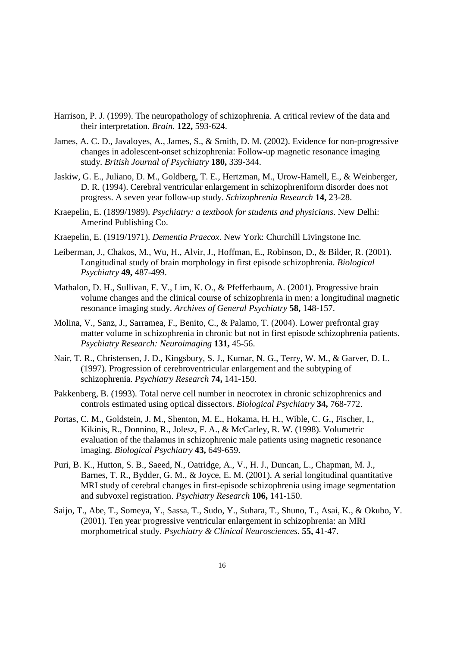- Harrison, P. J. (1999). The neuropathology of schizophrenia. A critical review of the data and their interpretation. *Brain.* **122,** 593-624.
- James, A. C. D., Javaloyes, A., James, S., & Smith, D. M. (2002). Evidence for non-progressive changes in adolescent-onset schizophrenia: Follow-up magnetic resonance imaging study. *British Journal of Psychiatry* **180,** 339-344.
- Jaskiw, G. E., Juliano, D. M., Goldberg, T. E., Hertzman, M., Urow-Hamell, E., & Weinberger, D. R. (1994). Cerebral ventricular enlargement in schizophreniform disorder does not progress. A seven year follow-up study. *Schizophrenia Research* **14,** 23-28.
- Kraepelin, E. (1899/1989). *Psychiatry: a textbook for students and physicians*. New Delhi: Amerind Publishing Co.
- Kraepelin, E. (1919/1971). *Dementia Praecox*. New York: Churchill Livingstone Inc.
- Leiberman, J., Chakos, M., Wu, H., Alvir, J., Hoffman, E., Robinson, D., & Bilder, R. (2001). Longitudinal study of brain morphology in first episode schizophrenia. *Biological Psychiatry* **49,** 487-499.
- Mathalon, D. H., Sullivan, E. V., Lim, K. O., & Pfefferbaum, A. (2001). Progressive brain volume changes and the clinical course of schizophrenia in men: a longitudinal magnetic resonance imaging study. *Archives of General Psychiatry* **58,** 148-157.
- Molina, V., Sanz, J., Sarramea, F., Benito, C., & Palamo, T. (2004). Lower prefrontal gray matter volume in schizophrenia in chronic but not in first episode schizophrenia patients. *Psychiatry Research: Neuroimaging* **131,** 45-56.
- Nair, T. R., Christensen, J. D., Kingsbury, S. J., Kumar, N. G., Terry, W. M., & Garver, D. L. (1997). Progression of cerebroventricular enlargement and the subtyping of schizophrenia. *Psychiatry Research* **74,** 141-150.
- Pakkenberg, B. (1993). Total nerve cell number in neocrotex in chronic schizophrenics and controls estimated using optical dissectors. *Biological Psychiatry* **34,** 768-772.
- Portas, C. M., Goldstein, J. M., Shenton, M. E., Hokama, H. H., Wible, C. G., Fischer, I., Kikinis, R., Donnino, R., Jolesz, F. A., & McCarley, R. W. (1998). Volumetric evaluation of the thalamus in schizophrenic male patients using magnetic resonance imaging. *Biological Psychiatry* **43,** 649-659.
- Puri, B. K., Hutton, S. B., Saeed, N., Oatridge, A., V., H. J., Duncan, L., Chapman, M. J., Barnes, T. R., Bydder, G. M., & Joyce, E. M. (2001). A serial longitudinal quantitative MRI study of cerebral changes in first-episode schizophrenia using image segmentation and subvoxel registration. *Psychiatry Research* **106,** 141-150.
- Saijo, T., Abe, T., Someya, Y., Sassa, T., Sudo, Y., Suhara, T., Shuno, T., Asai, K., & Okubo, Y. (2001). Ten year progressive ventricular enlargement in schizophrenia: an MRI morphometrical study. *Psychiatry & Clinical Neurosciences.* **55,** 41-47.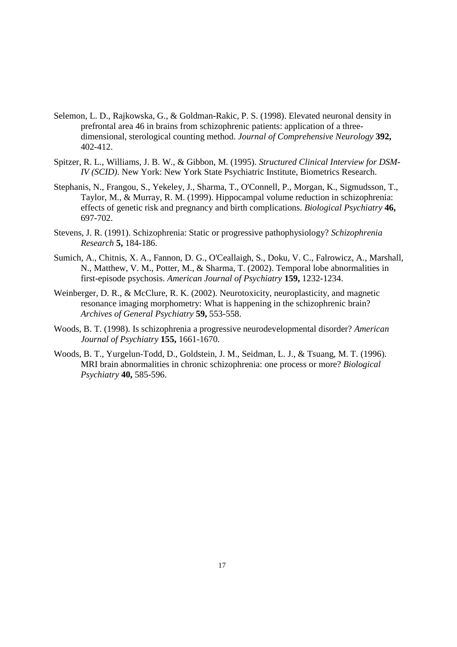- Selemon, L. D., Rajkowska, G., & Goldman-Rakic, P. S. (1998). Elevated neuronal density in prefrontal area 46 in brains from schizophrenic patients: application of a threedimensional, sterological counting method. *Journal of Comprehensive Neurology* **392,** 402-412.
- Spitzer, R. L., Williams, J. B. W., & Gibbon, M. (1995). *Structured Clinical Interview for DSM-IV (SCID)*. New York: New York State Psychiatric Institute, Biometrics Research.
- Stephanis, N., Frangou, S., Yekeley, J., Sharma, T., O'Connell, P., Morgan, K., Sigmudsson, T., Taylor, M., & Murray, R. M. (1999). Hippocampal volume reduction in schizophrenia: effects of genetic risk and pregnancy and birth complications. *Biological Psychiatry* **46,** 697-702.
- Stevens, J. R. (1991). Schizophrenia: Static or progressive pathophysiology? *Schizophrenia Research* **5,** 184-186.
- Sumich, A., Chitnis, X. A., Fannon, D. G., O'Ceallaigh, S., Doku, V. C., Falrowicz, A., Marshall, N., Matthew, V. M., Potter, M., & Sharma, T. (2002). Temporal lobe abnormalities in first-episode psychosis. *American Journal of Psychiatry* **159,** 1232-1234.
- Weinberger, D. R., & McClure, R. K. (2002). Neurotoxicity, neuroplasticity, and magnetic resonance imaging morphometry: What is happening in the schizophrenic brain? *Archives of General Psychiatry* **59,** 553-558.
- Woods, B. T. (1998). Is schizophrenia a progressive neurodevelopmental disorder? *American Journal of Psychiatry* **155,** 1661-1670.
- Woods, B. T., Yurgelun-Todd, D., Goldstein, J. M., Seidman, L. J., & Tsuang, M. T. (1996). MRI brain abnormalities in chronic schizophrenia: one process or more? *Biological Psychiatry* **40,** 585-596.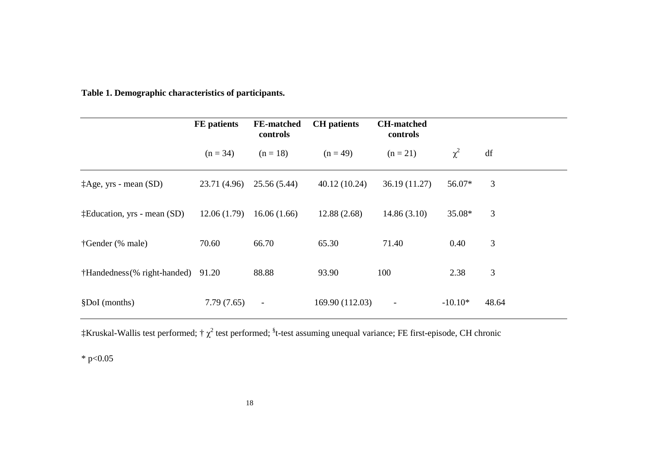|                                       | <b>FE</b> patients | <b>FE-matched</b><br>controls | <b>CH</b> patients | <b>CH-matched</b><br>controls |           |       |
|---------------------------------------|--------------------|-------------------------------|--------------------|-------------------------------|-----------|-------|
|                                       | $(n = 34)$         | $(n = 18)$                    | $(n = 49)$         | $(n = 21)$                    | $\chi^2$  | df    |
| $\ddagger$ Age, yrs - mean (SD)       | 23.71 (4.96)       | 25.56 (5.44)                  | 40.12(10.24)       | 36.19(11.27)                  | 56.07*    | 3     |
| $\ddagger$ Education, yrs - mean (SD) | 12.06(1.79)        | 16.06(1.66)                   | 12.88(2.68)        | 14.86(3.10)                   | 35.08*    | 3     |
| †Gender (% male)                      | 70.60              | 66.70                         | 65.30              | 71.40                         | 0.40      | 3     |
| †Handedness (% right-handed)          | 91.20              | 88.88                         | 93.90              | 100                           | 2.38      | 3     |
| §DoI (months)                         | 7.79(7.65)         | $\blacksquare$                | 169.90 (112.03)    | $\qquad \qquad \blacksquare$  | $-10.10*$ | 48.64 |

**Table 1. Demographic characteristics of participants.** 

 $\ddagger$ Kruskal-Wallis test performed; †  $\chi^2$  test performed;  $^{\$}$ t-test assuming unequal variance; FE first-episode, CH chronic

 $*$  p<0.05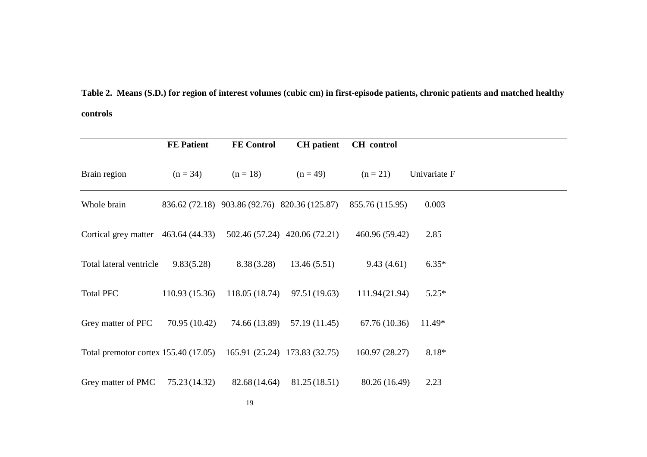**Table 2. Means (S.D.) for region of interest volumes (cubic cm) in first-episode patients, chronic patients and matched healthy controls**

|                                                                    | <b>FE Patient</b> | <b>FE</b> Control                             | <b>CH</b> patient             | <b>CH</b> control |              |  |
|--------------------------------------------------------------------|-------------------|-----------------------------------------------|-------------------------------|-------------------|--------------|--|
| Brain region                                                       | $(n = 34)$        | $(n = 18)$                                    | $(n = 49)$                    | $(n = 21)$        | Univariate F |  |
| Whole brain                                                        |                   | 836.62 (72.18) 903.86 (92.76) 820.36 (125.87) |                               | 855.76 (115.95)   | 0.003        |  |
| Cortical grey matter $463.64(44.33)$                               |                   |                                               | 502.46 (57.24) 420.06 (72.21) | 460.96 (59.42)    | 2.85         |  |
| Total lateral ventricle                                            | 9.83(5.28)        | 8.38(3.28)                                    | 13.46(5.51)                   | 9.43(4.61)        | $6.35*$      |  |
| <b>Total PFC</b>                                                   | 110.93 (15.36)    | 118.05 (18.74)                                | 97.51(19.63)                  | 111.94(21.94)     | $5.25*$      |  |
| Grey matter of PFC                                                 | 70.95 (10.42)     | 74.66 (13.89)                                 | 57.19 (11.45)                 | 67.76 (10.36)     | 11.49*       |  |
| Total premotor cortex 155.40 (17.05) 165.91 (25.24) 173.83 (32.75) |                   |                                               |                               | 160.97 (28.27)    | 8.18*        |  |
| Grey matter of PMC                                                 | 75.23 (14.32)     | 82.68 (14.64)                                 | 81.25 (18.51)                 | 80.26 (16.49)     | 2.23         |  |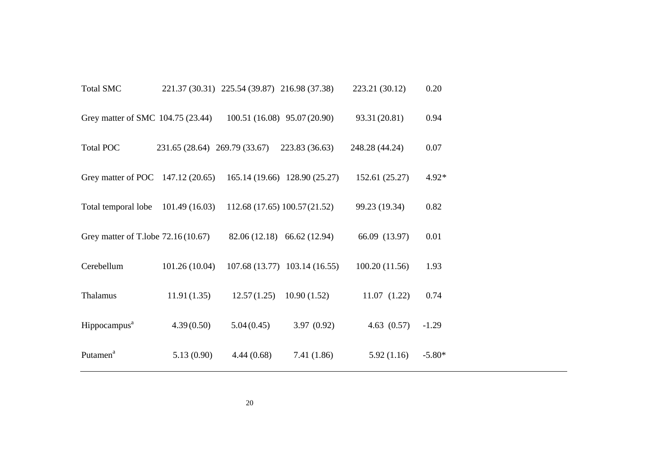| <b>Total SMC</b>                                                |                               | 221.37 (30.31) 225.54 (39.87) 216.98 (37.38) |                               | 223.21 (30.12) | 0.20     |
|-----------------------------------------------------------------|-------------------------------|----------------------------------------------|-------------------------------|----------------|----------|
| Grey matter of SMC 104.75 (23.44)                               |                               | 100.51 (16.08) 95.07 (20.90)                 |                               | 93.31 (20.81)  | 0.94     |
| <b>Total POC</b>                                                | 231.65 (28.64) 269.79 (33.67) |                                              | 223.83 (36.63)                | 248.28 (44.24) | 0.07     |
| Grey matter of POC 147.12 (20.65) 165.14 (19.66) 128.90 (25.27) |                               |                                              |                               | 152.61 (25.27) | $4.92*$  |
| Total temporal lobe                                             | 101.49(16.03)                 | 112.68 (17.65) 100.57 (21.52)                |                               | 99.23 (19.34)  | 0.82     |
| Grey matter of T.lobe 72.16 (10.67)                             |                               |                                              | 82.06 (12.18) 66.62 (12.94)   | 66.09 (13.97)  | 0.01     |
| Cerebellum                                                      | 101.26(10.04)                 |                                              | 107.68 (13.77) 103.14 (16.55) | 100.20(11.56)  | 1.93     |
| Thalamus                                                        | 11.91(1.35)                   | 12.57(1.25)                                  | 10.90(1.52)                   | 11.07(1.22)    | 0.74     |
| Hippocampus <sup>a</sup>                                        | 4.39(0.50)                    | 5.04(0.45)                                   | 3.97(0.92)                    | 4.63(0.57)     | $-1.29$  |
| Putamen <sup>a</sup>                                            | 5.13(0.90)                    | 4.44(0.68)                                   | 7.41(1.86)                    | 5.92(1.16)     | $-5.80*$ |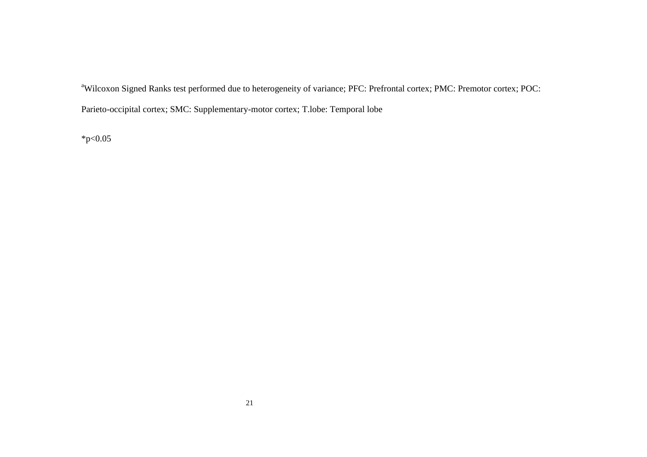<sup>a</sup>Wilcoxon Signed Ranks test performed due to heterogeneity of variance; PFC: Prefrontal cortex; PMC: Premotor cortex; POC: Parieto-occipital cortex; SMC: Supplementary-motor cortex; T.lobe: Temporal lobe

 $*_{p<0.05}$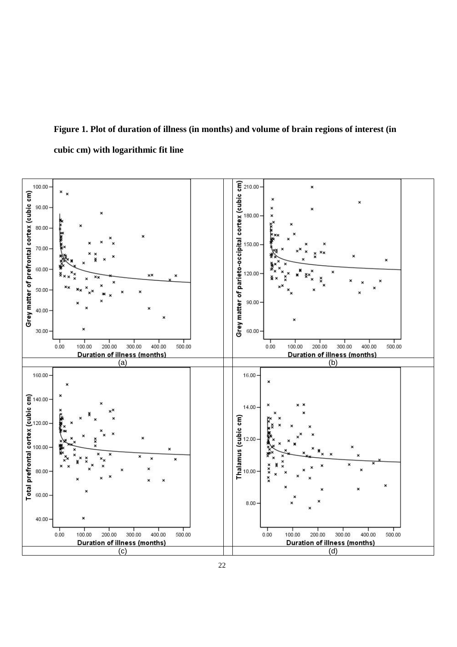# **Figure 1. Plot of duration of illness (in months) and volume of brain regions of interest (in cubic cm) with logarithmic fit line**